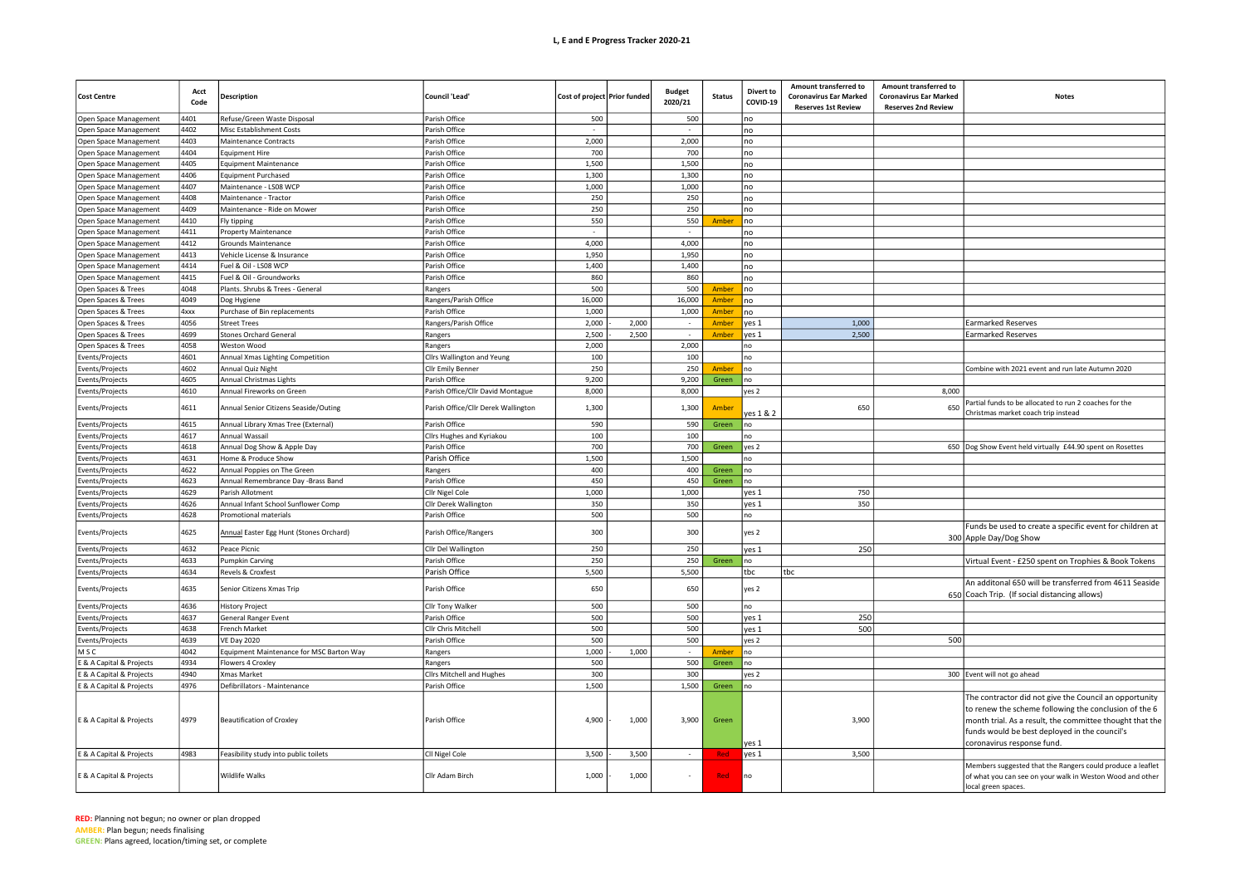## L, E and E Progress Tracker 2020-21

| <b>Cost Centre</b>           | Acct<br>Code | <b>Description</b>                       | Council 'Lead'                      | Cost of project Prior funded |       | <b>Budget</b><br>2020/21 | <b>Status</b> | Divert to<br>COVID-19 | Amount transferred to<br><b>Coronavirus Ear Marked</b><br><b>Reserves 1st Review</b> | Amount transferred to<br><b>Coronavirus Ear Marked</b><br><b>Reserves 2nd Review</b> | <b>Notes</b>                                                                                                                                                                                                                                               |
|------------------------------|--------------|------------------------------------------|-------------------------------------|------------------------------|-------|--------------------------|---------------|-----------------------|--------------------------------------------------------------------------------------|--------------------------------------------------------------------------------------|------------------------------------------------------------------------------------------------------------------------------------------------------------------------------------------------------------------------------------------------------------|
| Open Space Management        | 4401         | Refuse/Green Waste Disposal              | Parish Office                       | 500                          |       | 500                      |               | no                    |                                                                                      |                                                                                      |                                                                                                                                                                                                                                                            |
| Open Space Management        | 4402         | Misc Establishment Costs                 | Parish Office                       |                              |       |                          |               | no                    |                                                                                      |                                                                                      |                                                                                                                                                                                                                                                            |
| Open Space Management        | 4403         | Maintenance Contracts                    | Parish Office                       | 2,000                        |       | 2,000                    |               | no                    |                                                                                      |                                                                                      |                                                                                                                                                                                                                                                            |
| Open Space Management        | 4404         | <b>Equipment Hire</b>                    | Parish Office                       | 700                          |       | 700                      |               | no                    |                                                                                      |                                                                                      |                                                                                                                                                                                                                                                            |
| Open Space Management        | 4405         | <b>Equipment Maintenance</b>             | Parish Office                       | 1,500                        |       | 1,500                    |               | no                    |                                                                                      |                                                                                      |                                                                                                                                                                                                                                                            |
| Open Space Management        | 4406         | <b>Equipment Purchased</b>               | Parish Office                       | 1,300                        |       | 1,300                    |               | no                    |                                                                                      |                                                                                      |                                                                                                                                                                                                                                                            |
| Open Space Management        | 4407         | Maintenance - LS08 WCP                   | Parish Office                       | 1,000                        |       | 1,000                    |               | no                    |                                                                                      |                                                                                      |                                                                                                                                                                                                                                                            |
| Open Space Management        | 4408         | Maintenance - Tractor                    | Parish Office                       | 250                          |       | 250                      |               | no                    |                                                                                      |                                                                                      |                                                                                                                                                                                                                                                            |
| Open Space Management        | 4409         | Maintenance - Ride on Mower              | Parish Office                       | 250                          |       | 250                      |               | no                    |                                                                                      |                                                                                      |                                                                                                                                                                                                                                                            |
| Open Space Management        | 4410         | Fly tipping                              | Parish Office                       | 550                          |       | 550                      | Ambe          | no                    |                                                                                      |                                                                                      |                                                                                                                                                                                                                                                            |
| Open Space Management        | 4411         | Property Maintenance                     | Parish Office                       |                              |       | $\sim$                   |               | no                    |                                                                                      |                                                                                      |                                                                                                                                                                                                                                                            |
| Open Space Management        | 4412         | Grounds Maintenance                      | Parish Office                       | 4,000                        |       | 4,000                    |               | no                    |                                                                                      |                                                                                      |                                                                                                                                                                                                                                                            |
| Open Space Management        | 4413         | Vehicle License & Insurance              | Parish Office                       | 1,950                        |       | 1,950                    |               | no                    |                                                                                      |                                                                                      |                                                                                                                                                                                                                                                            |
| Open Space Management        | 4414         | Fuel & Oil - LS08 WCP                    | Parish Office                       | 1,400                        |       | 1,400                    |               | no                    |                                                                                      |                                                                                      |                                                                                                                                                                                                                                                            |
| <b>Open Space Management</b> | 4415         | Fuel & Oil - Groundworks                 | Parish Office                       | 860                          |       | 860                      |               | no                    |                                                                                      |                                                                                      |                                                                                                                                                                                                                                                            |
| Open Spaces & Trees          | 4048         | Plants. Shrubs & Trees - General         | Rangers                             | 500                          |       | 500                      | Amber         | no                    |                                                                                      |                                                                                      |                                                                                                                                                                                                                                                            |
| Open Spaces & Trees          | 4049         | Dog Hygiene                              | Rangers/Parish Office               | 16,000                       |       | 16,000                   | Amber         | no                    |                                                                                      |                                                                                      |                                                                                                                                                                                                                                                            |
| Open Spaces & Trees          | 4xxx         | Purchase of Bin replacements             | Parish Office                       | 1,000                        |       | 1,000                    | Amber         | no                    |                                                                                      |                                                                                      |                                                                                                                                                                                                                                                            |
| Open Spaces & Trees          | 4056         | <b>Street Trees</b>                      | Rangers/Parish Office               | 2,000                        | 2,000 | $\sim$                   | Amber         | yes 1                 | 1,000                                                                                |                                                                                      | <b>Earmarked Reserves</b>                                                                                                                                                                                                                                  |
| Open Spaces & Trees          | 4699         | <b>Stones Orchard General</b>            | Rangers                             | 2,500                        | 2,500 |                          | Amber         | ves 1                 | 2,500                                                                                |                                                                                      | <b>Earmarked Reserves</b>                                                                                                                                                                                                                                  |
| Open Spaces & Trees          | 4058         | Weston Wood                              | Rangers                             | 2,000                        |       | 2,000                    |               | no                    |                                                                                      |                                                                                      |                                                                                                                                                                                                                                                            |
| Events/Projects              | 4601         | Annual Xmas Lighting Competition         | Cllrs Wallington and Yeung          | 100                          |       | 100                      |               | no                    |                                                                                      |                                                                                      |                                                                                                                                                                                                                                                            |
| Events/Projects              | 4602         | Annual Quiz Night                        | Cllr Emily Benner                   | 250                          |       | 250                      | Amber         | no                    |                                                                                      |                                                                                      | Combine with 2021 event and run late Autumn 2020                                                                                                                                                                                                           |
| Events/Projects              | 4605         | Annual Christmas Lights                  | Parish Office                       | 9,200                        |       | 9,200                    | Green         | no                    |                                                                                      |                                                                                      |                                                                                                                                                                                                                                                            |
| Events/Projects              | 4610         | Annual Fireworks on Green                | Parish Office/Cllr David Montague   | 8,000                        |       | 8,000                    |               | yes 2                 |                                                                                      | 8,000                                                                                |                                                                                                                                                                                                                                                            |
| Events/Projects              | 4611         | Annual Senior Citizens Seaside/Outing    | Parish Office/Cllr Derek Wallington | 1,300                        |       | 1,300                    | Amber         | yes 1 & 2             | 650                                                                                  | 650                                                                                  | Partial funds to be allocated to run 2 coaches for the<br>Christmas market coach trip instead                                                                                                                                                              |
| Events/Projects              | 4615         | Annual Library Xmas Tree (External)      | Parish Office                       | 590                          |       | 590                      | Green         | no                    |                                                                                      |                                                                                      |                                                                                                                                                                                                                                                            |
| Events/Projects              | 4617         | Annual Wassail                           | Cllrs Hughes and Kyriakou           | 100                          |       | 100                      |               | no                    |                                                                                      |                                                                                      |                                                                                                                                                                                                                                                            |
| Events/Projects              | 4618         | Annual Dog Show & Apple Day              | Parish Office                       | 700                          |       | 700                      | Green         | yes 2                 |                                                                                      |                                                                                      | 650   Dog Show Event held virtually £44.90 spent on Rosettes                                                                                                                                                                                               |
| Events/Projects              | 4631         | Home & Produce Show                      | Parish Office                       | 1,500                        |       | 1,500                    |               | ١Ō                    |                                                                                      |                                                                                      |                                                                                                                                                                                                                                                            |
| Events/Projects              | 4622         | Annual Poppies on The Green              | Rangers                             | 400                          |       | 400                      | Green         | no                    |                                                                                      |                                                                                      |                                                                                                                                                                                                                                                            |
| Events/Projects              | 4623         | Annual Remembrance Day -Brass Band       | Parish Office                       | 450                          |       | 450                      | Green         | no                    |                                                                                      |                                                                                      |                                                                                                                                                                                                                                                            |
| Events/Projects              | 4629         | Parish Allotment                         | Cllr Nigel Cole                     | 1,000                        |       | 1,000                    |               | yes 1                 | 750                                                                                  |                                                                                      |                                                                                                                                                                                                                                                            |
| Events/Projects              | 4626         | Annual Infant School Sunflower Comp      | Cllr Derek Wallington               | 350                          |       | 350                      |               | yes 1                 | 350                                                                                  |                                                                                      |                                                                                                                                                                                                                                                            |
| Events/Projects              | 4628         | Promotional materials                    | Parish Office                       | 500                          |       | 500                      |               | no                    |                                                                                      |                                                                                      |                                                                                                                                                                                                                                                            |
| Events/Projects              | 4625         | Annual Easter Egg Hunt (Stones Orchard)  | Parish Office/Rangers               | 300                          |       | 300                      |               | yes 2                 |                                                                                      |                                                                                      | Funds be used to create a specific event for children at<br>300 Apple Day/Dog Show                                                                                                                                                                         |
| Events/Projects              | 4632         | Peace Picnic                             | Cllr Del Wallington                 | 250                          |       | 250                      |               | yes 1                 | 250                                                                                  |                                                                                      |                                                                                                                                                                                                                                                            |
| Events/Projects              | 4633         | <b>Pumpkin Carving</b>                   | Parish Office                       | 250                          |       | 250                      | Green         | no                    |                                                                                      |                                                                                      | Virtual Event - £250 spent on Trophies & Book Tokens                                                                                                                                                                                                       |
| Events/Projects              | 4634         | Revels & Croxfest                        | Parish Office                       | 5,500                        |       | 5,500                    |               | tbc                   | tbc                                                                                  |                                                                                      |                                                                                                                                                                                                                                                            |
| Events/Projects              | 4635         | Senior Citizens Xmas Trip                | Parish Office                       | 650                          |       | 650                      |               | yes 2                 |                                                                                      |                                                                                      | An additonal 650 will be transferred from 4611 Seaside<br>650 Coach Trip. (If social distancing allows)                                                                                                                                                    |
| Events/Projects              | 4636         | <b>History Project</b>                   | Cllr Tony Walker                    | 500                          |       | 500                      |               | no                    |                                                                                      |                                                                                      |                                                                                                                                                                                                                                                            |
| Events/Projects              | 4637         | General Ranger Event                     | Parish Office                       | 500                          |       | 500                      |               | yes 1                 | 250                                                                                  |                                                                                      |                                                                                                                                                                                                                                                            |
| Events/Projects              | 4638         | French Market                            | Cllr Chris Mitchell                 | 500                          |       | 500                      |               | ves 1                 | 500                                                                                  |                                                                                      |                                                                                                                                                                                                                                                            |
| Events/Projects              | 4639         | <b>VE Day 2020</b>                       | Parish Office                       | 500                          |       | 500                      |               | yes 2                 |                                                                                      | 500                                                                                  |                                                                                                                                                                                                                                                            |
| M S C                        | 4042         | Equipment Maintenance for MSC Barton Way | Rangers                             | 1,000                        | 1,000 | $\sim$                   | Amber         | no                    |                                                                                      |                                                                                      |                                                                                                                                                                                                                                                            |
| E & A Capital & Projects     | 4934         | Flowers 4 Croxley                        | Rangers                             | 500                          |       | 500                      | Green         | no                    |                                                                                      |                                                                                      |                                                                                                                                                                                                                                                            |
| E & A Capital & Projects     | 4940         | Xmas Market                              | Clirs Mitchell and Hughes           | 300                          |       | 300                      |               | yes 2                 |                                                                                      |                                                                                      | 300 Event will not go ahead                                                                                                                                                                                                                                |
| E & A Capital & Projects     | 4976         | Defibrillators - Maintenance             | Parish Office                       | 1,500                        |       | 1,500                    | Green         | no                    |                                                                                      |                                                                                      |                                                                                                                                                                                                                                                            |
| E & A Capital & Projects     | 4979         | <b>Beautification of Croxley</b>         | Parish Office                       | 4,900                        | 1,000 | 3,900                    | Green         | yes 1                 | 3,900                                                                                |                                                                                      | The contractor did not give the Council an opportunity<br>to renew the scheme following the conclusion of the 6<br>month trial. As a result, the committee thought that the<br>funds would be best deployed in the council's<br>coronavirus response fund. |
| E & A Capital & Projects     | 4983         | Feasibility study into public toilets    | CII Nigel Cole                      | 3,500                        | 3,500 | $\sim$                   | Red           | yes 1                 | 3,500                                                                                |                                                                                      |                                                                                                                                                                                                                                                            |
| E & A Capital & Projects     |              | <b>Wildlife Walks</b>                    | Cllr Adam Birch                     | 1,000                        | 1,000 | $\sim$                   | <b>Red</b>    | no                    |                                                                                      |                                                                                      | Members suggested that the Rangers could produce a leaflet<br>of what you can see on your walk in Weston Wood and other<br>local green spaces.                                                                                                             |